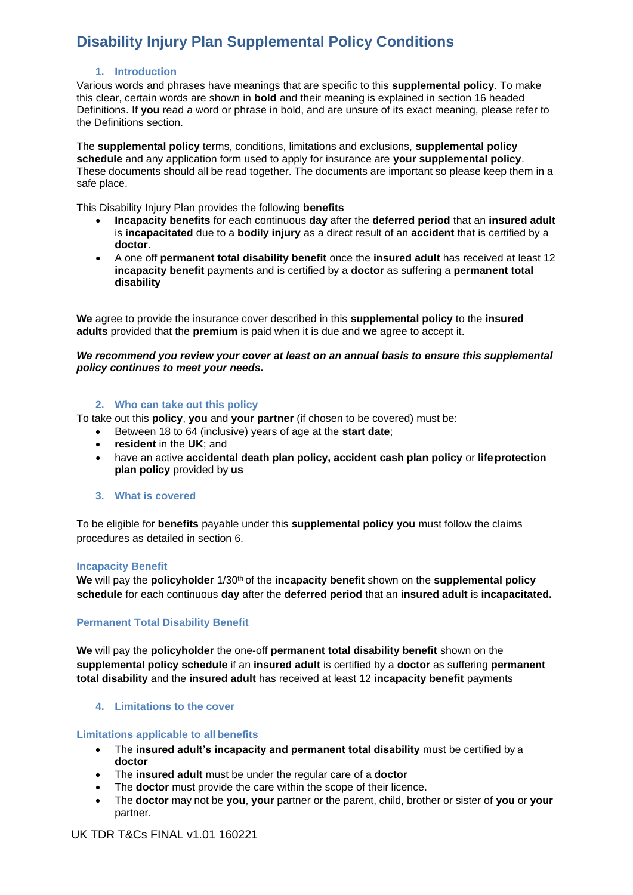### **1. Introduction**

Various words and phrases have meanings that are specific to this **supplemental policy**. To make this clear, certain words are shown in **bold** and their meaning is explained in section 16 headed Definitions. If **you** read a word or phrase in bold, and are unsure of its exact meaning, please refer to the Definitions section.

The **supplemental policy** terms, conditions, limitations and exclusions, **supplemental policy schedule** and any application form used to apply for insurance are **your supplemental policy**. These documents should all be read together. The documents are important so please keep them in a safe place.

This Disability Injury Plan provides the following **benefits**

- **Incapacity benefits** for each continuous **day** after the **deferred period** that an **insured adult**  is **incapacitated** due to a **bodily injury** as a direct result of an **accident** that is certified by a **doctor**.
- A one off **permanent total disability benefit** once the **insured adult** has received at least 12 **incapacity benefit** payments and is certified by a **doctor** as suffering a **permanent total disability**

**We** agree to provide the insurance cover described in this **supplemental policy** to the **insured adults** provided that the **premium** is paid when it is due and **we** agree to accept it.

#### *We recommend you review your cover at least on an annual basis to ensure this supplemental policy continues to meet your needs.*

### **2. Who can take out this policy**

To take out this **policy**, **you** and **your partner** (if chosen to be covered) must be:

- Between 18 to 64 (inclusive) years of age at the **start date**;
- **resident** in the **UK**; and
- have an active **accidental death plan policy, accident cash plan policy** or **lifeprotection plan policy** provided by **us**
- **3. What is covered**

To be eligible for **benefits** payable under this **supplemental policy you** must follow the claims procedures as detailed in section 6.

#### **Incapacity Benefit**

We will pay the **policyholder**  $1/30<sup>th</sup>$  of the **incapacity benefit** shown on the **supplemental policy schedule** for each continuous **day** after the **deferred period** that an **insured adult** is **incapacitated.**

## **Permanent Total Disability Benefit**

**We** will pay the **policyholder** the one-off **permanent total disability benefit** shown on the **supplemental policy schedule** if an **insured adult** is certified by a **doctor** as suffering **permanent total disability** and the **insured adult** has received at least 12 **incapacity benefit** payments

#### **4. Limitations to the cover**

#### **Limitations applicable to all benefits**

- The **insured adult's incapacity and permanent total disability** must be certified by a **doctor**
- The **insured adult** must be under the regular care of a **doctor**
- The **doctor** must provide the care within the scope of their licence.
- The **doctor** may not be **you**, **your** partner or the parent, child, brother or sister of **you** or **your** partner.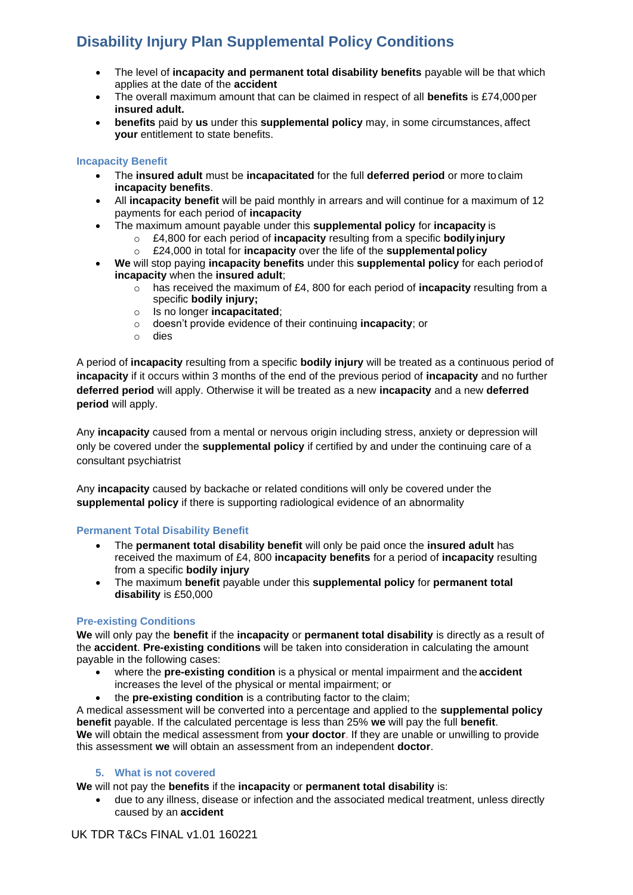- The level of **incapacity and permanent total disability benefits** payable will be that which applies at the date of the **accident**
- The overall maximum amount that can be claimed in respect of all **benefits** is £74,000per **insured adult.**
- **benefits** paid by **us** under this **supplemental policy** may, in some circumstances, affect **your** entitlement to state benefits.

## **Incapacity Benefit**

- The **insured adult** must be **incapacitated** for the full **deferred period** or more to claim **incapacity benefits**.
- All **incapacity benefit** will be paid monthly in arrears and will continue for a maximum of 12 payments for each period of **incapacity**
- The maximum amount payable under this **supplemental policy** for **incapacity** is
	- o £4,800 for each period of **incapacity** resulting from a specific **bodilyinjury**
	- o £24,000 in total for **incapacity** over the life of the **supplementalpolicy**
- **We** will stop paying **incapacity benefits** under this **supplemental policy** for each periodof **incapacity** when the **insured adult**;
	- o has received the maximum of £4, 800 for each period of **incapacity** resulting from a specific **bodily injury;**
	- o Is no longer **incapacitated**;
	- o doesn't provide evidence of their continuing **incapacity**; or
	- o dies

A period of **incapacity** resulting from a specific **bodily injury** will be treated as a continuous period of **incapacity** if it occurs within 3 months of the end of the previous period of **incapacity** and no further **deferred period** will apply. Otherwise it will be treated as a new **incapacity** and a new **deferred period** will apply.

Any **incapacity** caused from a mental or nervous origin including stress, anxiety or depression will only be covered under the **supplemental policy** if certified by and under the continuing care of a consultant psychiatrist

Any **incapacity** caused by backache or related conditions will only be covered under the **supplemental policy** if there is supporting radiological evidence of an abnormality

## **Permanent Total Disability Benefit**

- The **permanent total disability benefit** will only be paid once the **insured adult** has received the maximum of £4, 800 **incapacity benefits** for a period of **incapacity** resulting from a specific **bodily injury**
- The maximum **benefit** payable under this **supplemental policy** for **permanent total disability** is £50,000

## **Pre-existing Conditions**

**We** will only pay the **benefit** if the **incapacity** or **permanent total disability** is directly as a result of the **accident**. **Pre-existing conditions** will be taken into consideration in calculating the amount payable in the following cases:

- where the **pre-existing condition** is a physical or mental impairment and the **accident** increases the level of the physical or mental impairment; or
- the **pre-existing condition** is a contributing factor to the claim;

A medical assessment will be converted into a percentage and applied to the **supplemental policy benefit** payable. If the calculated percentage is less than 25% **we** will pay the full **benefit**. **We** will obtain the medical assessment from **your doctor**. If they are unable or unwilling to provide this assessment **we** will obtain an assessment from an independent **doctor**.

## **5. What is not covered**

**We** will not pay the **benefits** if the **incapacity** or **permanent total disability** is:

• due to any illness, disease or infection and the associated medical treatment, unless directly caused by an **accident**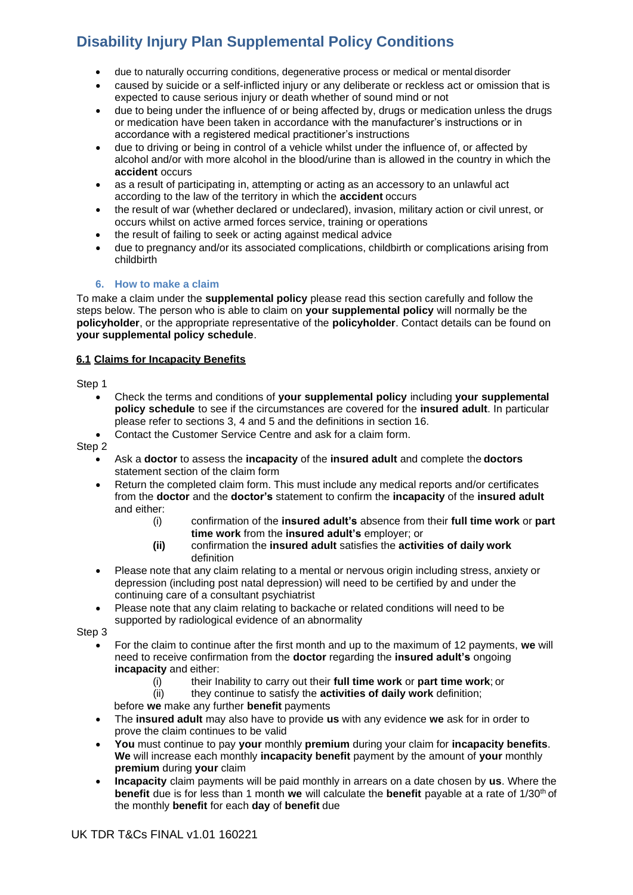- due to naturally occurring conditions, degenerative process or medical or mental disorder
- caused by suicide or a self-inflicted injury or any deliberate or reckless act or omission that is expected to cause serious injury or death whether of sound mind or not
- due to being under the influence of or being affected by, drugs or medication unless the drugs or medication have been taken in accordance with the manufacturer's instructions or in accordance with a registered medical practitioner's instructions
- due to driving or being in control of a vehicle whilst under the influence of, or affected by alcohol and/or with more alcohol in the blood/urine than is allowed in the country in which the **accident** occurs
- as a result of participating in, attempting or acting as an accessory to an unlawful act according to the law of the territory in which the **accident** occurs
- the result of war (whether declared or undeclared), invasion, military action or civil unrest, or occurs whilst on active armed forces service, training or operations
- the result of failing to seek or acting against medical advice
- due to pregnancy and/or its associated complications, childbirth or complications arising from childbirth

## **6. How to make a claim**

To make a claim under the **supplemental policy** please read this section carefully and follow the steps below. The person who is able to claim on **your supplemental policy** will normally be the **policyholder**, or the appropriate representative of the **policyholder**. Contact details can be found on **your supplemental policy schedule**.

## **6.1 Claims for Incapacity Benefits**

Step 1

- Check the terms and conditions of **your supplemental policy** including **your supplemental policy schedule** to see if the circumstances are covered for the **insured adult**. In particular please refer to sections 3, 4 and 5 and the definitions in section 16.
- Contact the Customer Service Centre and ask for a claim form.

Step 2

- Ask a **doctor** to assess the **incapacity** of the **insured adult** and complete the **doctors** statement section of the claim form
- Return the completed claim form. This must include any medical reports and/or certificates from the **doctor** and the **doctor's** statement to confirm the **incapacity** of the **insured adult**  and either:
	- (i) confirmation of the **insured adult's** absence from their **full time work** or **part time work** from the **insured adult's** employer; or
	- **(ii)** confirmation the **insured adult** satisfies the **activities of daily work** definition
- Please note that any claim relating to a mental or nervous origin including stress, anxiety or depression (including post natal depression) will need to be certified by and under the continuing care of a consultant psychiatrist
- Please note that any claim relating to backache or related conditions will need to be supported by radiological evidence of an abnormality

Step 3

- For the claim to continue after the first month and up to the maximum of 12 payments, **we** will need to receive confirmation from the **doctor** regarding the **insured adult's** ongoing **incapacity** and either:
	- (i) their Inability to carry out their **full time work** or **part time work**; or
	- (ii) they continue to satisfy the **activities of daily work** definition;

before **we** make any further **benefit** payments

- The **insured adult** may also have to provide **us** with any evidence **we** ask for in order to prove the claim continues to be valid
- **You** must continue to pay **your** monthly **premium** during your claim for **incapacity benefits**. **We** will increase each monthly **incapacity benefit** payment by the amount of **your** monthly **premium** during **your** claim
- **Incapacity** claim payments will be paid monthly in arrears on a date chosen by **us**. Where the **benefit** due is for less than 1 month **we** will calculate the **benefit** payable at a rate of 1/30<sup>th</sup> of the monthly **benefit** for each **day** of **benefit** due

UK TDR T&Cs FINAL v1.01 160221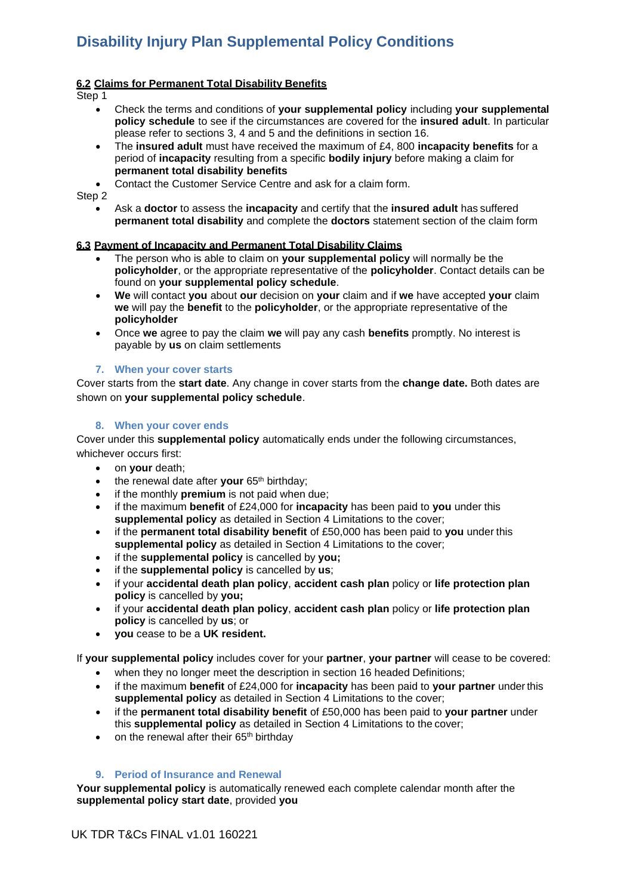## **6.2 Claims for Permanent Total Disability Benefits**

Step 1

- Check the terms and conditions of **your supplemental policy** including **your supplemental policy schedule** to see if the circumstances are covered for the **insured adult**. In particular please refer to sections 3, 4 and 5 and the definitions in section 16.
- The **insured adult** must have received the maximum of £4, 800 **incapacity benefits** for a period of **incapacity** resulting from a specific **bodily injury** before making a claim for **permanent total disability benefits**
- Contact the Customer Service Centre and ask for a claim form.

Step 2

• Ask a **doctor** to assess the **incapacity** and certify that the **insured adult** has suffered **permanent total disability** and complete the **doctors** statement section of the claim form

## **6.3 Payment of Incapacity and Permanent Total Disability Claims**

- The person who is able to claim on **your supplemental policy** will normally be the **policyholder**, or the appropriate representative of the **policyholder**. Contact details can be found on **your supplemental policy schedule**.
- **We** will contact **you** about **our** decision on **your** claim and if **we** have accepted **your** claim **we** will pay the **benefit** to the **policyholder**, or the appropriate representative of the **policyholder**
- Once **we** agree to pay the claim **we** will pay any cash **benefits** promptly. No interest is payable by **us** on claim settlements

## **7. When your cover starts**

Cover starts from the **start date**. Any change in cover starts from the **change date.** Both dates are shown on **your supplemental policy schedule**.

### **8. When your cover ends**

Cover under this **supplemental policy** automatically ends under the following circumstances, whichever occurs first:

- on **your** death;
- the renewal date after your 65<sup>th</sup> birthday;
- if the monthly **premium** is not paid when due;
- if the maximum **benefit** of £24,000 for **incapacity** has been paid to **you** under this **supplemental policy** as detailed in Section 4 Limitations to the cover;
- if the **permanent total disability benefit** of £50,000 has been paid to **you** under this supplemental policy as detailed in Section 4 Limitations to the cover;
- if the **supplemental policy** is cancelled by **you;**
- if the **supplemental policy** is cancelled by **us**;
- if your **accidental death plan policy**, **accident cash plan** policy or **life protection plan policy** is cancelled by **you;**
- if your **accidental death plan policy**, **accident cash plan** policy or **life protection plan policy** is cancelled by **us**; or
- **you** cease to be a **UK resident.**

If **your supplemental policy** includes cover for your **partner**, **your partner** will cease to be covered:

- when they no longer meet the description in section 16 headed Definitions;
- if the maximum **benefit** of £24,000 for **incapacity** has been paid to **your partner** underthis **supplemental policy** as detailed in Section 4 Limitations to the cover;
- if the **permanent total disability benefit** of £50,000 has been paid to **your partner** under this **supplemental policy** as detailed in Section 4 Limitations to the cover;
- on the renewal after their 65<sup>th</sup> birthday

## **9. Period of Insurance and Renewal**

**Your supplemental policy** is automatically renewed each complete calendar month after the **supplemental policy start date**, provided **you**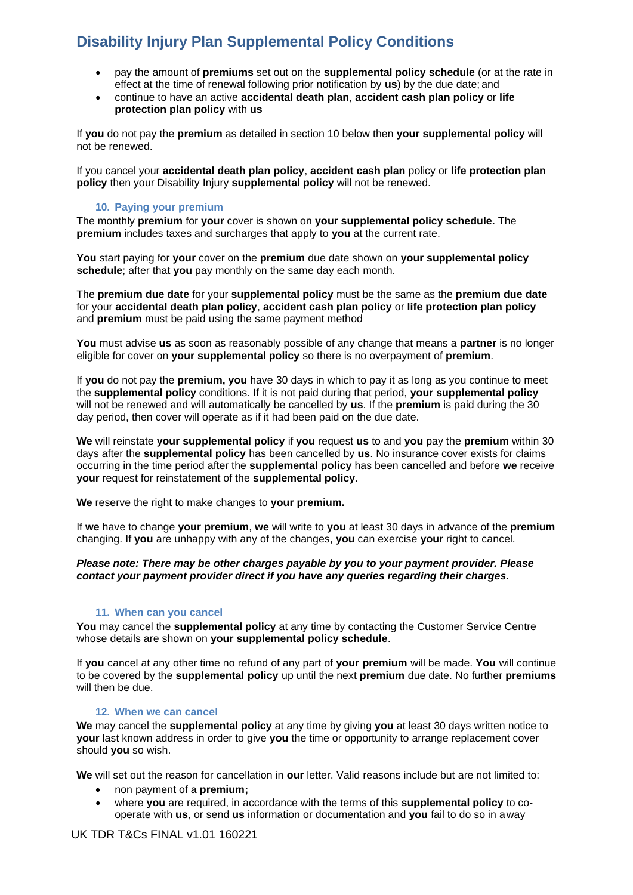- pay the amount of **premiums** set out on the **supplemental policy schedule** (or at the rate in effect at the time of renewal following prior notification by **us**) by the due date; and
- continue to have an active **accidental death plan**, **accident cash plan policy** or **life protection plan policy** with **us**

If **you** do not pay the **premium** as detailed in section 10 below then **your supplemental policy** will not be renewed.

If you cancel your **accidental death plan policy**, **accident cash plan** policy or **life protection plan policy** then your Disability Injury **supplemental policy** will not be renewed.

## **10. Paying your premium**

The monthly **premium** for **your** cover is shown on **your supplemental policy schedule.** The **premium** includes taxes and surcharges that apply to **you** at the current rate.

**You** start paying for **your** cover on the **premium** due date shown on **your supplemental policy schedule**; after that **you** pay monthly on the same day each month.

The **premium due date** for your **supplemental policy** must be the same as the **premium due date**  for your **accidental death plan policy**, **accident cash plan policy** or **life protection plan policy**  and **premium** must be paid using the same payment method

**You** must advise **us** as soon as reasonably possible of any change that means a **partner** is no longer eligible for cover on **your supplemental policy** so there is no overpayment of **premium**.

If **you** do not pay the **premium, you** have 30 days in which to pay it as long as you continue to meet the **supplemental policy** conditions. If it is not paid during that period, **your supplemental policy**  will not be renewed and will automatically be cancelled by **us**. If the **premium** is paid during the 30 day period, then cover will operate as if it had been paid on the due date.

**We** will reinstate **your supplemental policy** if **you** request **us** to and **you** pay the **premium** within 30 days after the **supplemental policy** has been cancelled by **us**. No insurance cover exists for claims occurring in the time period after the **supplemental policy** has been cancelled and before **we** receive **your** request for reinstatement of the **supplemental policy**.

**We** reserve the right to make changes to **your premium.**

If **we** have to change **your premium**, **we** will write to **you** at least 30 days in advance of the **premium** changing. If **you** are unhappy with any of the changes, **you** can exercise **your** right to cancel.

#### *Please note: There may be other charges payable by you to your payment provider. Please contact your payment provider direct if you have any queries regarding their charges.*

#### **11. When can you cancel**

**You** may cancel the **supplemental policy** at any time by contacting the Customer Service Centre whose details are shown on **your supplemental policy schedule**.

If **you** cancel at any other time no refund of any part of **your premium** will be made. **You** will continue to be covered by the **supplemental policy** up until the next **premium** due date. No further **premiums**  will then be due.

#### **12. When we can cancel**

**We** may cancel the **supplemental policy** at any time by giving **you** at least 30 days written notice to **your** last known address in order to give **you** the time or opportunity to arrange replacement cover should **you** so wish.

**We** will set out the reason for cancellation in **our** letter. Valid reasons include but are not limited to:

- non payment of a **premium;**
- where **you** are required, in accordance with the terms of this **supplemental policy** to cooperate with **us**, or send **us** information or documentation and **you** fail to do so in away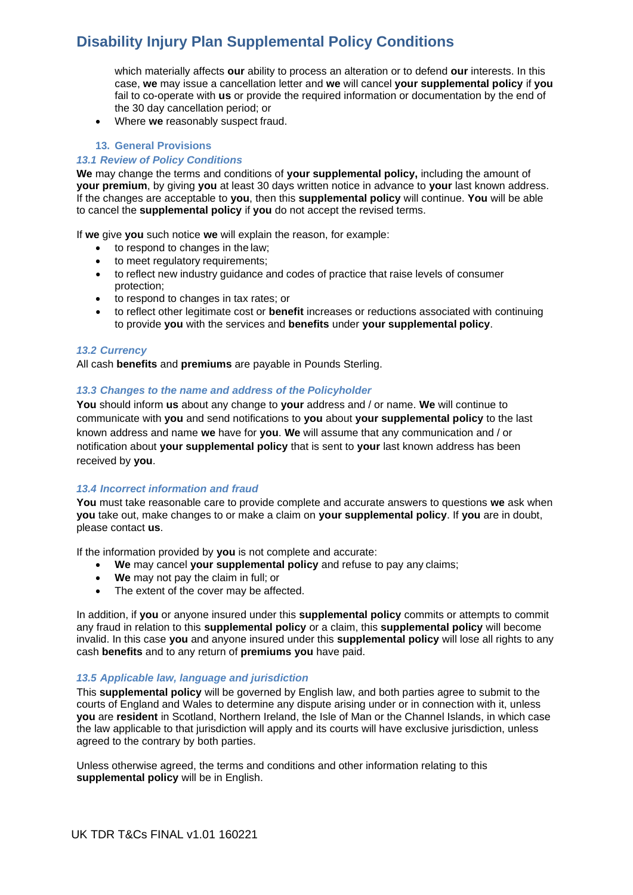which materially affects **our** ability to process an alteration or to defend **our** interests. In this case, **we** may issue a cancellation letter and **we** will cancel **your supplemental policy** if **you**  fail to co-operate with **us** or provide the required information or documentation by the end of the 30 day cancellation period; or

• Where **we** reasonably suspect fraud.

#### **13. General Provisions**

#### *13.1 Review of Policy Conditions*

**We** may change the terms and conditions of **your supplemental policy,** including the amount of **your premium**, by giving **you** at least 30 days written notice in advance to **your** last known address. If the changes are acceptable to **you**, then this **supplemental policy** will continue. **You** will be able to cancel the **supplemental policy** if **you** do not accept the revised terms.

If **we** give **you** such notice **we** will explain the reason, for example:

- to respond to changes in the law;
- to meet regulatory requirements;
- to reflect new industry guidance and codes of practice that raise levels of consumer protection;
- to respond to changes in tax rates; or
- to reflect other legitimate cost or **benefit** increases or reductions associated with continuing to provide **you** with the services and **benefits** under **your supplemental policy**.

### *13.2 Currency*

All cash **benefits** and **premiums** are payable in Pounds Sterling.

#### *13.3 Changes to the name and address of the Policyholder*

**You** should inform **us** about any change to **your** address and / or name. **We** will continue to communicate with **you** and send notifications to **you** about **your supplemental policy** to the last known address and name **we** have for **you**. **We** will assume that any communication and / or notification about **your supplemental policy** that is sent to **your** last known address has been received by **you**.

#### *13.4 Incorrect information and fraud*

**You** must take reasonable care to provide complete and accurate answers to questions **we** ask when **you** take out, make changes to or make a claim on **your supplemental policy**. If **you** are in doubt, please contact **us**.

If the information provided by **you** is not complete and accurate:

- **We** may cancel **your supplemental policy** and refuse to pay any claims;
- **We** may not pay the claim in full; or
- The extent of the cover may be affected.

In addition, if **you** or anyone insured under this **supplemental policy** commits or attempts to commit any fraud in relation to this **supplemental policy** or a claim, this **supplemental policy** will become invalid. In this case **you** and anyone insured under this **supplemental policy** will lose all rights to any cash **benefits** and to any return of **premiums you** have paid.

#### *13.5 Applicable law, language and jurisdiction*

This **supplemental policy** will be governed by English law, and both parties agree to submit to the courts of England and Wales to determine any dispute arising under or in connection with it, unless **you** are **resident** in Scotland, Northern Ireland, the Isle of Man or the Channel Islands, in which case the law applicable to that jurisdiction will apply and its courts will have exclusive jurisdiction, unless agreed to the contrary by both parties.

Unless otherwise agreed, the terms and conditions and other information relating to this **supplemental policy** will be in English.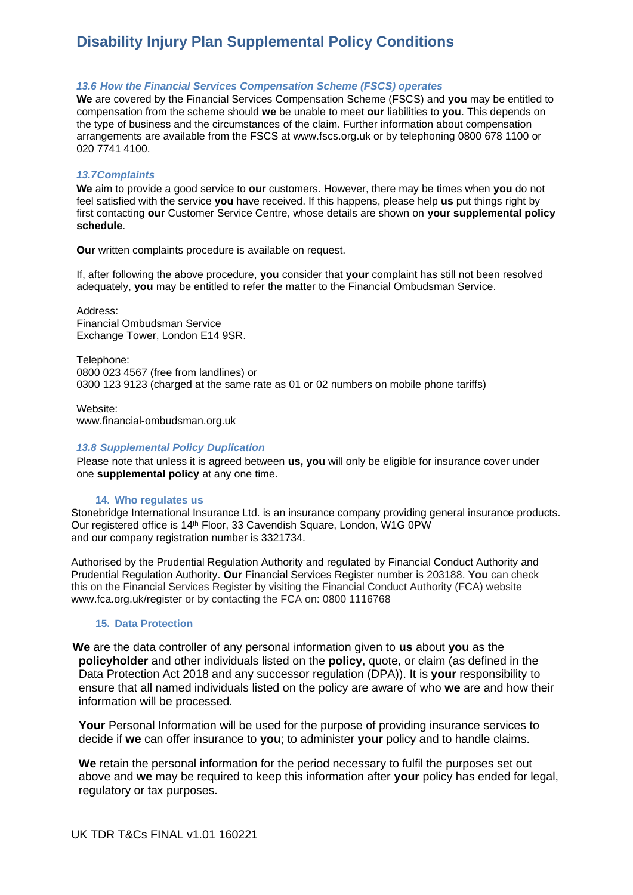#### *13.6 How the Financial Services Compensation Scheme (FSCS) operates*

**We** are covered by the Financial Services Compensation Scheme (FSCS) and **you** may be entitled to compensation from the scheme should **we** be unable to meet **our** liabilities to **you**. This depends on the type of business and the circumstances of the claim. Further information about compensation arrangements are available from the FSCS at [www.fscs.org.uk o](http://www.fscs.org.uk/)r by telephoning 0800 678 1100 or 020 7741 4100.

#### *13.7Complaints*

**We** aim to provide a good service to **our** customers. However, there may be times when **you** do not feel satisfied with the service **you** have received. If this happens, please help **us** put things right by first contacting **our** Customer Service Centre, whose details are shown on **your supplemental policy schedule**.

**Our** written complaints procedure is available on request.

If, after following the above procedure, **you** consider that **your** complaint has still not been resolved adequately, **you** may be entitled to refer the matter to the Financial Ombudsman Service.

Address: Financial Ombudsman Service Exchange Tower, London E14 9SR.

Telephone: 0800 023 4567 (free from landlines) or 0300 123 9123 (charged at the same rate as 01 or 02 numbers on mobile phone tariffs)

Website: [www.financial-ombudsman.org.uk](http://www.financial-ombudsman.org.uk/)

#### *13.8 Supplemental Policy Duplication*

Please note that unless it is agreed between **us, you** will only be eligible for insurance cover under one **supplemental policy** at any one time.

#### **14. Who regulates us**

Stonebridge International Insurance Ltd. is an insurance company providing general insurance products. Our registered office is 14<sup>th</sup> Floor, 33 Cavendish Square, London, W1G 0PW and our company registration number is 3321734.

Authorised by the Prudential Regulation Authority and regulated by Financial Conduct Authority and Prudential Regulation Authority. **Our** Financial Services Register number is 203188. **You** can check this on the Financial Services Register by visiting the Financial Conduct Authority (FCA) website [www.fca.org.uk/register o](http://www.fca.org.uk/register)r by contacting the FCA on: 0800 1116768

#### **15. Data Protection**

 **We** are the data controller of any personal information given to **us** about **you** as the **policyholder** and other individuals listed on the **policy**, quote, or claim (as defined in the Data Protection Act 2018 and any successor regulation (DPA)). It is **your** responsibility to ensure that all named individuals listed on the policy are aware of who **we** are and how their information will be processed.

**Your** Personal Information will be used for the purpose of providing insurance services to decide if **we** can offer insurance to **you**; to administer **your** policy and to handle claims.

**We** retain the personal information for the period necessary to fulfil the purposes set out above and **we** may be required to keep this information after **your** policy has ended for legal, regulatory or tax purposes.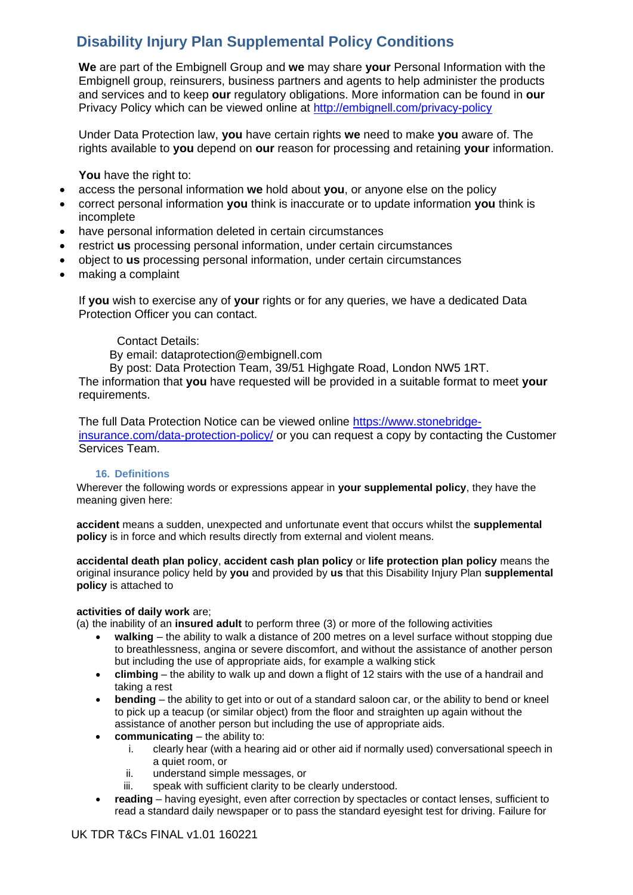**We** are part of the Embignell Group and **we** may share **your** Personal Information with the Embignell group, reinsurers, business partners and agents to help administer the products and services and to keep **our** regulatory obligations. More information can be found in **our** Privacy Policy which can be viewed online at<http://embignell.com/privacy-policy>

Under Data Protection law, **you** have certain rights **we** need to make **you** aware of. The rights available to **you** depend on **our** reason for processing and retaining **your** information.

**You** have the right to:

- access the personal information **we** hold about **you**, or anyone else on the policy
- correct personal information **you** think is inaccurate or to update information **you** think is incomplete
- have personal information deleted in certain circumstances
- restrict **us** processing personal information, under certain circumstances
- object to **us** processing personal information, under certain circumstances
- making a complaint

If **you** wish to exercise any of **your** rights or for any queries, we have a dedicated Data Protection Officer you can contact.

## Contact Details:

By email: dataprotection@embignell.com

By post: Data Protection Team, 39/51 Highgate Road, London NW5 1RT.

The information that **you** have requested will be provided in a suitable format to meet **your**  requirements.

The full Data Protection Notice can be viewed online [https://www.stonebridge](https://www.stonebridge-insurance.com/data-protection-policy/)[insurance.com/data-protection-policy/](https://www.stonebridge-insurance.com/data-protection-policy/) or you can request a copy by contacting the Customer Services Team.

## **16. Definitions**

Wherever the following words or expressions appear in **your supplemental policy**, they have the meaning given here:

**accident** means a sudden, unexpected and unfortunate event that occurs whilst the **supplemental policy** is in force and which results directly from external and violent means.

**accidental death plan policy**, **accident cash plan policy** or **life protection plan policy** means the original insurance policy held by **you** and provided by **us** that this Disability Injury Plan **supplemental policy** is attached to

## **activities of daily work** are;

(a) the inability of an **insured adult** to perform three (3) or more of the following activities

- **walking** the ability to walk a distance of 200 metres on a level surface without stopping due to breathlessness, angina or severe discomfort, and without the assistance of another person but including the use of appropriate aids, for example a walking stick
- **climbing** the ability to walk up and down a flight of 12 stairs with the use of a handrail and taking a rest
- **bending** the ability to get into or out of a standard saloon car, or the ability to bend or kneel to pick up a teacup (or similar object) from the floor and straighten up again without the assistance of another person but including the use of appropriate aids.
- **communicating**  the ability to:
	- i. clearly hear (with a hearing aid or other aid if normally used) conversational speech in a quiet room, or
	- ii. understand simple messages, or
	- iii. speak with sufficient clarity to be clearly understood.
- **reading** having eyesight, even after correction by spectacles or contact lenses, sufficient to read a standard daily newspaper or to pass the standard eyesight test for driving. Failure for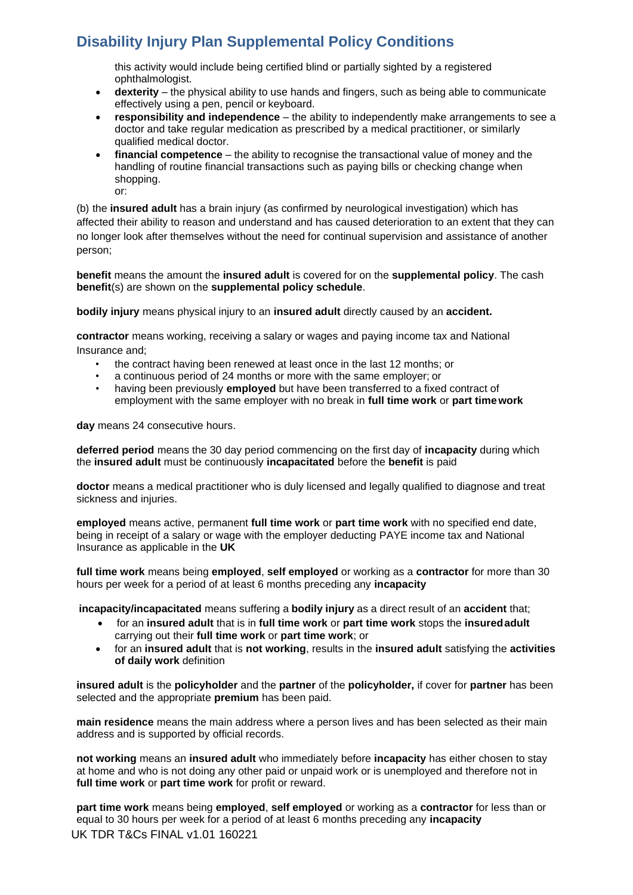this activity would include being certified blind or partially sighted by a registered ophthalmologist.

- **dexterity** the physical ability to use hands and fingers, such as being able to communicate effectively using a pen, pencil or keyboard.
- **responsibility and independence**  the ability to independently make arrangements to see a doctor and take regular medication as prescribed by a medical practitioner, or similarly qualified medical doctor.
- **financial competence** the ability to recognise the transactional value of money and the handling of routine financial transactions such as paying bills or checking change when shopping. or:

(b) the **insured adult** has a brain injury (as confirmed by neurological investigation) which has affected their ability to reason and understand and has caused deterioration to an extent that they can no longer look after themselves without the need for continual supervision and assistance of another person;

**benefit** means the amount the **insured adult** is covered for on the **supplemental policy**. The cash **benefit**(s) are shown on the **supplemental policy schedule**.

**bodily injury** means physical injury to an **insured adult** directly caused by an **accident.**

**contractor** means working, receiving a salary or wages and paying income tax and National Insurance and;

- the contract having been renewed at least once in the last 12 months; or
- a continuous period of 24 months or more with the same employer; or
- having been previously **employed** but have been transferred to a fixed contract of employment with the same employer with no break in **full time work** or **part timework**

**day** means 24 consecutive hours.

**deferred period** means the 30 day period commencing on the first day of **incapacity** during which the **insured adult** must be continuously **incapacitated** before the **benefit** is paid

**doctor** means a medical practitioner who is duly licensed and legally qualified to diagnose and treat sickness and injuries.

**employed** means active, permanent **full time work** or **part time work** with no specified end date, being in receipt of a salary or wage with the employer deducting PAYE income tax and National Insurance as applicable in the **UK**

**full time work** means being **employed**, **self employed** or working as a **contractor** for more than 30 hours per week for a period of at least 6 months preceding any **incapacity**

**incapacity/incapacitated** means suffering a **bodily injury** as a direct result of an **accident** that;

- for an **insured adult** that is in **full time work** or **part time work** stops the **insuredadult** carrying out their **full time work** or **part time work**; or
- for an **insured adult** that is **not working**, results in the **insured adult** satisfying the **activities of daily work** definition

**insured adult** is the **policyholder** and the **partner** of the **policyholder,** if cover for **partner** has been selected and the appropriate **premium** has been paid.

**main residence** means the main address where a person lives and has been selected as their main address and is supported by official records.

**not working** means an **insured adult** who immediately before **incapacity** has either chosen to stay at home and who is not doing any other paid or unpaid work or is unemployed and therefore not in **full time work** or **part time work** for profit or reward.

UK TDR T&Cs FINAL v1.01 160221 **part time work** means being **employed**, **self employed** or working as a **contractor** for less than or equal to 30 hours per week for a period of at least 6 months preceding any **incapacity**